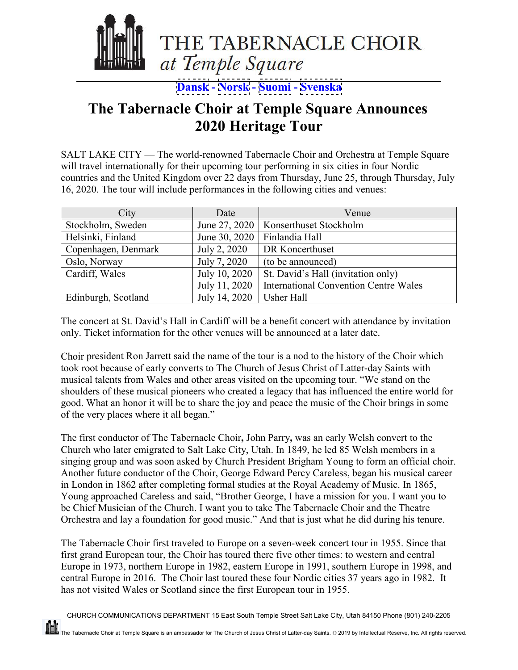

**[Dansk](#page-2-0) - [Norsk](#page-6-0) - [Suomi](#page-4-0) - [Svenska](#page-8-0)**

#### **The Tabernacle Choir at Temple Square Announces 2020 Heritage Tour**

SALT LAKE CITY — The world-renowned Tabernacle Choir and Orchestra at Temple Square will travel internationally for their upcoming tour performing in six cities in four Nordic countries and the United Kingdom over 22 days from Thursday, June 25, through Thursday, July 16, 2020. The tour will include performances in the following cities and venues:

| City                | Date          | Venue                                        |
|---------------------|---------------|----------------------------------------------|
| Stockholm, Sweden   |               | June 27, 2020   Konserthuset Stockholm       |
| Helsinki, Finland   | June 30, 2020 | Finlandia Hall                               |
| Copenhagen, Denmark | July 2, 2020  | DR Koncerthuset                              |
| Oslo, Norway        | July 7, 2020  | (to be announced)                            |
| Cardiff, Wales      | July 10, 2020 | St. David's Hall (invitation only)           |
|                     | July 11, 2020 | <b>International Convention Centre Wales</b> |
| Edinburgh, Scotland | July 14, 2020 | <b>Usher Hall</b>                            |

The concert at St. David's Hall in Cardiff will be a benefit concert with attendance by invitation only. Ticket information for the other venues will be announced at a later date.

Choir president Ron Jarrett said the name of the tour is a nod to the history of the Choir which took root because of early converts to The Church of Jesus Christ of Latter-day Saints with musical talents from Wales and other areas visited on the upcoming tour. "We stand on the shoulders of these musical pioneers who created a legacy that has influenced the entire world for good. What an honor it will be to share the joy and peace the music of the Choir brings in some of the very places where it all began."

The first conductor of The Tabernacle Choir**,** John Parry**,** was an early Welsh convert to the Church who later emigrated to Salt Lake City, Utah. In 1849, he led 85 Welsh members in a singing group and was soon asked by Church President Brigham Young to form an official choir. Another future conductor of the Choir, George Edward Percy Careless, began his musical career in London in 1862 after completing formal studies at the Royal Academy of Music. In 1865, [Young approached Careless](https://www.lds.org/ensign/1984/02/the-morning-breaks-george-careless-musical-pioneer?lang=eng) and said, "Brother George, I have a mission for you. I want you to be Chief Musician of the Church. I want you to take The Tabernacle Choir and the Theatre Orchestra and lay a foundation for good music." And that is just what he did during his tenure.

The Tabernacle Choir first traveled to Europe on a seven-week concert tour in 1955. Since that first grand European tour, the Choir has toured there five other times: to western and central Europe in 1973, northern Europe in 1982, eastern Europe in 1991, southern Europe in 1998, and central Europe in 2016. The Choir last toured these four Nordic cities 37 years ago in 1982. It has not visited Wales or Scotland since the first European tour in 1955.

CHURCH COMMUNICATIONS DEPARTMENT 15 East South Temple Street Salt Lake City, Utah 84150 Phone (801) 240-2205

<u>ini</u>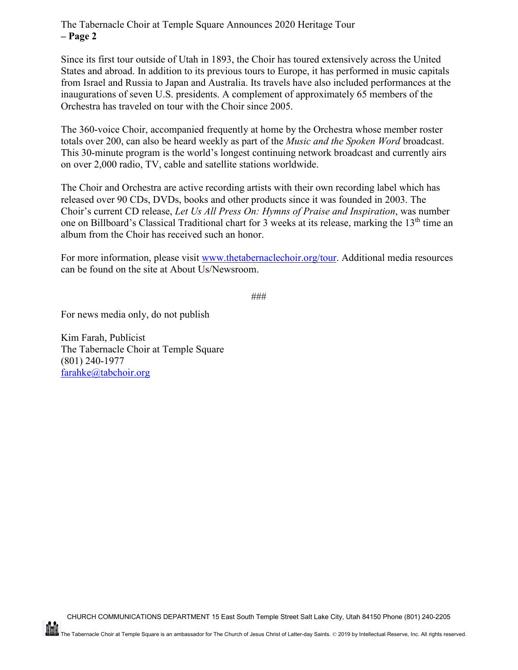#### The Tabernacle Choir at Temple Square Announces 2020 Heritage Tour **– Page 2**

Since its first tour outside of Utah in 1893, the Choir has toured extensively across the United States and abroad. In addition to its previous tours to Europe, it has performed in music capitals from Israel and Russia to Japan and Australia. Its travels have also included performances at the inaugurations of seven U.S. presidents. A complement of approximately 65 members of the Orchestra has traveled on tour with the Choir since 2005.

The 360-voice Choir, accompanied frequently at home by the Orchestra whose member roster totals over 200, can also be heard weekly as part of the *Music and the Spoken Word* broadcast. This 30-minute program is the world's longest continuing network broadcast and currently airs on over 2,000 radio, TV, cable and satellite stations worldwide.

The Choir and Orchestra are active recording artists with their own recording label which has released over 90 CDs, DVDs, books and other products since it was founded in 2003. The Choir's current CD release, *Let Us All Press On: Hymns of Praise and Inspiration*, was number one on Billboard's Classical Traditional chart for 3 weeks at its release, marking the 13<sup>th</sup> time an album from the Choir has received such an honor.

For more information, please visit [www.thetabernaclechoir.org/tour.](http://www.thetabernaclechoir.org/tour) Additional media resources can be found on the site at About Us/Newsroom.

```
###
```
For news media only, do not publish

Kim Farah, Publicist The Tabernacle Choir at Temple Square (801) 240-1977 [farahke@tabchoir.org](mailto:farahke@tabchoir.org)

**HEIL**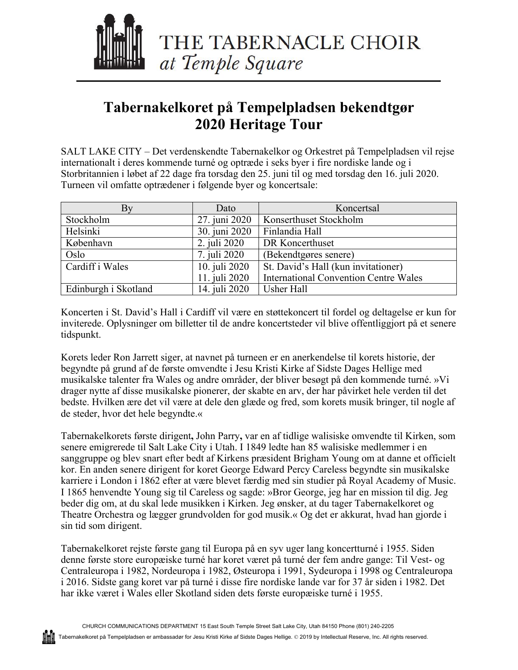<span id="page-2-0"></span>

# **Tabernakelkoret på Tempelpladsen bekendtgør 2020 Heritage Tour**

SALT LAKE CITY – Det verdenskendte Tabernakelkor og Orkestret på Tempelpladsen vil rejse internationalt i deres kommende turné og optræde i seks byer i fire nordiske lande og i Storbritannien i løbet af 22 dage fra torsdag den 25. juni til og med torsdag den 16. juli 2020. Turneen vil omfatte optrædener i følgende byer og koncertsale:

| By                   | Dato          | Koncertsal                                   |
|----------------------|---------------|----------------------------------------------|
| Stockholm            | 27. juni 2020 | Konserthuset Stockholm                       |
| Helsinki             | 30. juni 2020 | Finlandia Hall                               |
| København            | 2. juli 2020  | DR Koncerthuset                              |
| Oslo                 | 7. juli 2020  | (Bekendtgøres senere)                        |
| Cardiff i Wales      | 10. juli 2020 | St. David's Hall (kun invitationer)          |
|                      | 11. juli 2020 | <b>International Convention Centre Wales</b> |
| Edinburgh i Skotland | 14. juli 2020 | Usher Hall                                   |

Koncerten i St. David's Hall i Cardiff vil være en støttekoncert til fordel og deltagelse er kun for inviterede. Oplysninger om billetter til de andre koncertsteder vil blive offentliggjort på et senere tidspunkt.

Korets leder Ron Jarrett siger, at navnet på turneen er en anerkendelse til korets historie, der begyndte på grund af de første omvendte i Jesu Kristi Kirke af Sidste Dages Hellige med musikalske talenter fra Wales og andre områder, der bliver besøgt på den kommende turné. »Vi drager nytte af disse musikalske pionerer, der skabte en arv, der har påvirket hele verden til det bedste. Hvilken ære det vil være at dele den glæde og fred, som korets musik bringer, til nogle af de steder, hvor det hele begyndte.«

Tabernakelkorets første dirigent**,** John Parry**,** var en af tidlige walisiske omvendte til Kirken, som senere emigrerede til Salt Lake City i Utah. I 1849 ledte han 85 walisiske medlemmer i en sanggruppe og blev snart efter bedt af Kirkens præsident Brigham Young om at danne et officielt kor. En anden senere dirigent for koret George Edward Percy Careless begyndte sin musikalske karriere i London i 1862 efter at være blevet færdig med sin studier på Royal Academy of Music. I 1865 henvendte Young sig til Careless og sagde: »Bror George, jeg har en mission til dig. Jeg beder dig om, at du skal lede musikken i Kirken. Jeg ønsker, at du tager Tabernakelkoret og Theatre Orchestra og lægger grundvolden for god musik.« Og det er akkurat, hvad han gjorde i sin tid som dirigent.

Tabernakelkoret rejste første gang til Europa på en syv uger lang koncertturné i 1955. Siden denne første store europæiske turné har koret været på turné der fem andre gange: Til Vest- og Centraleuropa i 1982, Nordeuropa i 1982, Østeuropa i 1991, Sydeuropa i 1998 og Centraleuropa i 2016. Sidste gang koret var på turné i disse fire nordiske lande var for 37 år siden i 1982. Det har ikke været i Wales eller Skotland siden dets første europæiske turné i 1955.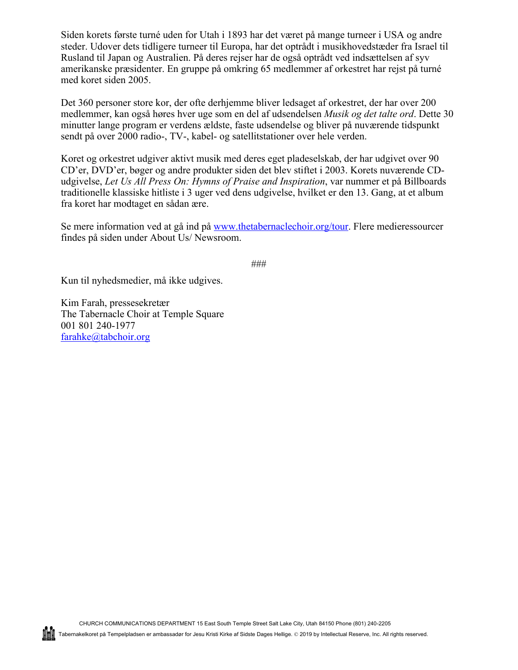Siden korets første turné uden for Utah i 1893 har det været på mange turneer i USA og andre steder. Udover dets tidligere turneer til Europa, har det optrådt i musikhovedstæder fra Israel til Rusland til Japan og Australien. På deres rejser har de også optrådt ved indsættelsen af syv amerikanske præsidenter. En gruppe på omkring 65 medlemmer af orkestret har rejst på turné med koret siden 2005.

Det 360 personer store kor, der ofte derhjemme bliver ledsaget af orkestret, der har over 200 medlemmer, kan også høres hver uge som en del af udsendelsen *Musik og det talte ord*. Dette 30 minutter lange program er verdens ældste, faste udsendelse og bliver på nuværende tidspunkt sendt på over 2000 radio-, TV-, kabel- og satellitstationer over hele verden.

Koret og orkestret udgiver aktivt musik med deres eget pladeselskab, der har udgivet over 90 CD'er, DVD'er, bøger og andre produkter siden det blev stiftet i 2003. Korets nuværende CDudgivelse, *Let Us All Press On: Hymns of Praise and Inspiration*, var nummer et på Billboards traditionelle klassiske hitliste i 3 uger ved dens udgivelse, hvilket er den 13. Gang, at et album fra koret har modtaget en sådan ære.

Se mere information ved at gå ind på www.thetabernaclechoir.org/tour. Flere medieressourcer findes på siden under About Us/ Newsroom.

###

Kun til nyhedsmedier, må ikke udgives.

Kim Farah, pressesekretær The Tabernacle Choir at Temple Square 001 801 240-1977 farahke@tabchoir.org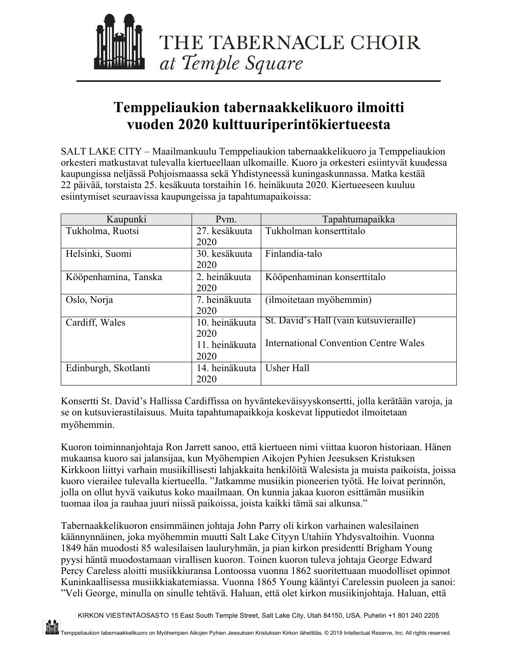<span id="page-4-0"></span>

# **Temppeliaukion tabernaakkelikuoro ilmoitti vuoden 2020 kulttuuriperintökiertueesta**

SALT LAKE CITY – Maailmankuulu Temppeliaukion tabernaakkelikuoro ja Temppeliaukion orkesteri matkustavat tulevalla kiertueellaan ulkomaille. Kuoro ja orkesteri esiintyvät kuudessa kaupungissa neljässä Pohjoismaassa sekä Yhdistyneessä kuningaskunnassa. Matka kestää 22 päivää, torstaista 25. kesäkuuta torstaihin 16. heinäkuuta 2020. Kiertueeseen kuuluu esiintymiset seuraavissa kaupungeissa ja tapahtumapaikoissa:

| Kaupunki             | Pvm.           | Tapahtumapaikka                              |
|----------------------|----------------|----------------------------------------------|
| Tukholma, Ruotsi     | 27. kesäkuuta  | Tukholman konserttitalo                      |
|                      | 2020           |                                              |
| Helsinki, Suomi      | 30. kesäkuuta  | Finlandia-talo                               |
|                      | 2020           |                                              |
| Kööpenhamina, Tanska | 2. heinäkuuta  | Kööpenhaminan konserttitalo                  |
|                      | 2020           |                                              |
| Oslo, Norja          | 7. heinäkuuta  | (ilmoitetaan myöhemmin)                      |
|                      | 2020           |                                              |
| Cardiff, Wales       | 10. heinäkuuta | St. David's Hall (vain kutsuvieraille)       |
|                      | 2020           |                                              |
|                      | 11. heinäkuuta | <b>International Convention Centre Wales</b> |
|                      | 2020           |                                              |
| Edinburgh, Skotlanti | 14. heinäkuuta | <b>Usher Hall</b>                            |
|                      | 2020           |                                              |

Konsertti St. David's Hallissa Cardiffissa on hyväntekeväisyyskonsertti, jolla kerätään varoja, ja se on kutsuvierastilaisuus. Muita tapahtumapaikkoja koskevat lipputiedot ilmoitetaan myöhemmin.

Kuoron toiminnanjohtaja Ron Jarrett sanoo, että kiertueen nimi viittaa kuoron historiaan. Hänen mukaansa kuoro sai jalansijaa, kun Myöhempien Aikojen Pyhien Jeesuksen Kristuksen Kirkkoon liittyi varhain musiikillisesti lahjakkaita henkilöitä Walesista ja muista paikoista, joissa kuoro vierailee tulevalla kiertueella. "Jatkamme musiikin pioneerien työtä. He loivat perinnön, jolla on ollut hyvä vaikutus koko maailmaan. On kunnia jakaa kuoron esittämän musiikin tuomaa iloa ja rauhaa juuri niissä paikoissa, joista kaikki tämä sai alkunsa."

Tabernaakkelikuoron ensimmäinen johtaja John Parry oli kirkon varhainen walesilainen käännynnäinen, joka myöhemmin muutti Salt Lake Cityyn Utahiin Yhdysvaltoihin. Vuonna 1849 hän muodosti 85 walesilaisen lauluryhmän, ja pian kirkon presidentti Brigham Young pyysi häntä muodostamaan virallisen kuoron. Toinen kuoron tuleva johtaja George Edward Percy Careless aloitti musiikkiuransa Lontoossa vuonna 1862 suoritettuaan muodolliset opinnot Kuninkaallisessa musiikkiakatemiassa. Vuonna 1865 Young kääntyi Carelessin puoleen ja sanoi: "Veli George, minulla on sinulle tehtävä. Haluan, että olet kirkon musiikinjohtaja. Haluan, että

KIRKON VIESTINTÄOSASTO 15 East South Temple Street, Salt Lake City, Utah 84150, USA. Puhelin +1 801 240 2205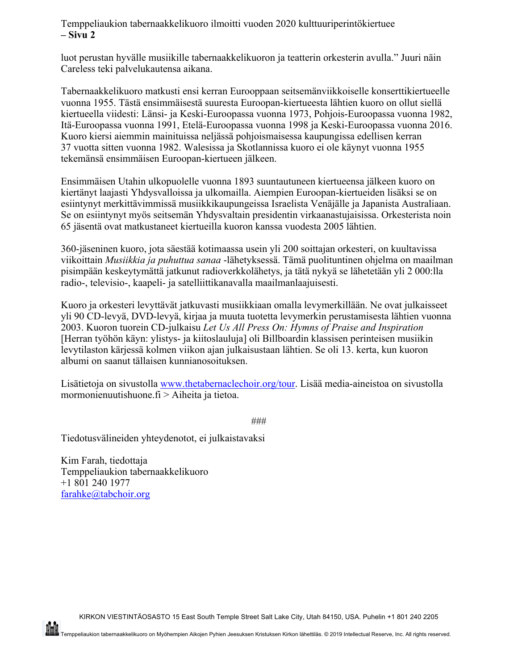Temppeliaukion tabernaakkelikuoro ilmoitti vuoden 2020 kulttuuriperintökiertuee **– Sivu 2**

luot perustan hyvälle musiikille tabernaakkelikuoron ja teatterin orkesterin avulla." Juuri näin Careless teki palvelukautensa aikana.

Tabernaakkelikuoro matkusti ensi kerran Eurooppaan seitsemänviikkoiselle konserttikiertueelle vuonna 1955. Tästä ensimmäisestä suuresta Euroopan-kiertueesta lähtien kuoro on ollut siellä kiertueella viidesti: Länsi- ja Keski-Euroopassa vuonna 1973, Pohjois-Euroopassa vuonna 1982, Itä-Euroopassa vuonna 1991, Etelä-Euroopassa vuonna 1998 ja Keski-Euroopassa vuonna 2016. Kuoro kiersi aiemmin mainituissa neljässä pohjoismaisessa kaupungissa edellisen kerran 37 vuotta sitten vuonna 1982. Walesissa ja Skotlannissa kuoro ei ole käynyt vuonna 1955 tekemänsä ensimmäisen Euroopan-kiertueen jälkeen.

Ensimmäisen Utahin ulkopuolelle vuonna 1893 suuntautuneen kiertueensa jälkeen kuoro on kiertänyt laajasti Yhdysvalloissa ja ulkomailla. Aiempien Euroopan-kiertueiden lisäksi se on esiintynyt merkittävimmissä musiikkikaupungeissa Israelista Venäjälle ja Japanista Australiaan. Se on esiintynyt myös seitsemän Yhdysvaltain presidentin virkaanastujaisissa. Orkesterista noin 65 jäsentä ovat matkustaneet kiertueilla kuoron kanssa vuodesta 2005 lähtien.

360-jäseninen kuoro, jota säestää kotimaassa usein yli 200 soittajan orkesteri, on kuultavissa viikoittain *Musiikkia ja puhuttua sanaa* -lähetyksessä. Tämä puolituntinen ohjelma on maailman pisimpään keskeytymättä jatkunut radioverkkolähetys, ja tätä nykyä se lähetetään yli 2 000:lla radio-, televisio-, kaapeli- ja satelliittikanavalla maailmanlaajuisesti.

Kuoro ja orkesteri levyttävät jatkuvasti musiikkiaan omalla levymerkillään. Ne ovat julkaisseet yli 90 CD-levyä, DVD-levyä, kirjaa ja muuta tuotetta levymerkin perustamisesta lähtien vuonna 2003. Kuoron tuorein CD-julkaisu *Let Us All Press On: Hymns of Praise and Inspiration* [Herran työhön käyn: ylistys- ja kiitoslauluja] oli Billboardin klassisen perinteisen musiikin levytilaston kärjessä kolmen viikon ajan julkaisustaan lähtien. Se oli 13. kerta, kun kuoron albumi on saanut tällaisen kunnianosoituksen.

Lisätietoja on sivustolla www.thetabernaclechoir.org/tour. Lisää media-aineistoa on sivustolla mormonienuutishuone.fi > Aiheita ja tietoa.

###

Tiedotusvälineiden yhteydenotot, ei julkaistavaksi

Kim Farah, tiedottaja Temppeliaukion tabernaakkelikuoro +1 801 240 1977 farahke@tabchoir.org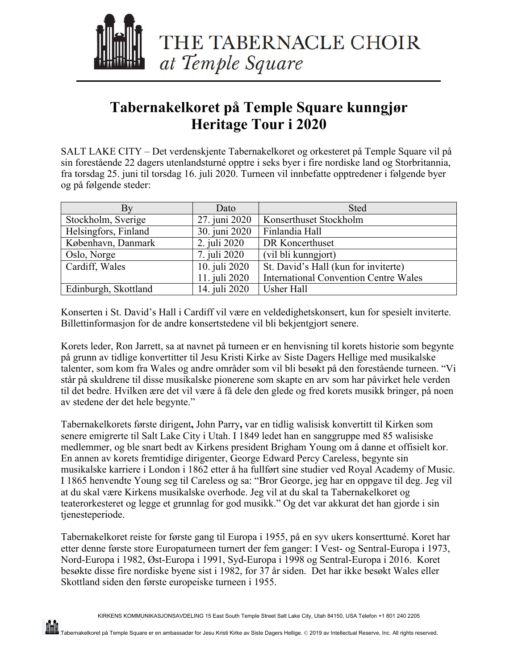<span id="page-6-0"></span>

# **Tabernakelkoret på Temple Square kunngjør Heritage Tour i 2020**

SALT LAKE CITY – Det verdenskjente Tabernakelkoret og orkesteret på Temple Square vil på sin forestående 22 dagers utenlandsturné opptre i seks byer i fire nordiske land og Storbritannia, fra torsdag 25. juni til torsdag 16. juli 2020. Turneen vil innbefatte opptredener i følgende byer og på følgende steder:

| Bv                   | Dato          | <b>Sted</b>                                  |
|----------------------|---------------|----------------------------------------------|
| Stockholm, Sverige   | 27. juni 2020 | Konserthuset Stockholm                       |
| Helsingfors, Finland | 30. juni 2020 | Finlandia Hall                               |
| København, Danmark   | 2. juli 2020  | DR Koncerthuset                              |
| Oslo, Norge          | 7. juli 2020  | (vil bli kunngjort)                          |
| Cardiff, Wales       | 10. juli 2020 | St. David's Hall (kun for inviterte)         |
|                      | 11. juli 2020 | <b>International Convention Centre Wales</b> |
| Edinburgh, Skottland | 14. juli 2020 | <b>Usher Hall</b>                            |

Konserten i St. David's Hall i Cardiff vil være en veldedighetskonsert, kun for spesielt inviterte. Billettinformasjon for de andre konsertstedene vil bli bekjentgjort senere.

Korets leder, Ron Jarrett, sa at navnet på turneen er en henvisning til korets historie som begynte på grunn av tidlige konvertitter til Jesu Kristi Kirke av Siste Dagers Hellige med musikalske talenter, som kom fra Wales og andre områder som vil bli besøkt på den forestående turneen. "Vi står på skuldrene til disse musikalske pionerene som skapte en arv som har påvirket hele verden til det bedre. Hvilken ære det vil være å få dele den glede og fred korets musikk bringer, på noen av stedene der det hele begynte."

Tabernakelkorets første dirigent**,** John Parry**,** var en tidlig walisisk konvertitt til Kirken som senere emigrerte til Salt Lake City i Utah. I 1849 ledet han en sanggruppe med 85 walisiske medlemmer, og ble snart bedt av Kirkens president Brigham Young om å danne et offisielt kor. En annen av korets fremtidige dirigenter, George Edward Percy Careless, begynte sin musikalske karriere i London i 1862 etter å ha fullført sine studier ved Royal Academy of Music. I 1865 henvendte Young seg til Careless og sa: "Bror George, jeg har en oppgave til deg. Jeg vil at du skal være Kirkens musikalske overhode. Jeg vil at du skal ta Tabernakelkoret og teaterorkesteret og legge et grunnlag for god musikk." Og det var akkurat det han gjorde i sin tjenesteperiode.

Tabernakelkoret reiste for første gang til Europa i 1955, på en syv ukers konsertturné. Koret har etter denne første store Europaturneen turnert der fem ganger: I Vest- og Sentral-Europa i 1973, Nord-Europa i 1982, Øst-Europa i 1991, Syd-Europa i 1998 og Sentral-Europa i 2016. Koret besøkte disse fire nordiske byene sist i 1982, for 37 år siden. Det har ikke besøkt Wales eller Skottland siden den første europeiske turneen i 1955.

M.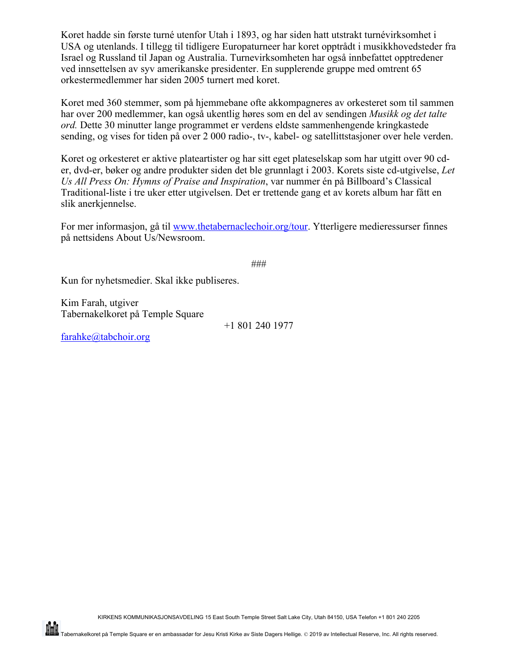Koret hadde sin første turné utenfor Utah i 1893, og har siden hatt utstrakt turnévirksomhet i USA og utenlands. I tillegg til tidligere Europaturneer har koret opptrådt i musikkhovedsteder fra Israel og Russland til Japan og Australia. Turnevirksomheten har også innbefattet opptredener ved innsettelsen av syv amerikanske presidenter. En supplerende gruppe med omtrent 65 orkestermedlemmer har siden 2005 turnert med koret.

Koret med 360 stemmer, som på hjemmebane ofte akkompagneres av orkesteret som til sammen har over 200 medlemmer, kan også ukentlig høres som en del av sendingen *Musikk og det talte ord.* Dette 30 minutter lange programmet er verdens eldste sammenhengende kringkastede sending, og vises for tiden på over 2 000 radio-, tv-, kabel- og satellittstasjoner over hele verden.

Koret og orkesteret er aktive plateartister og har sitt eget plateselskap som har utgitt over 90 cder, dvd-er, bøker og andre produkter siden det ble grunnlagt i 2003. Korets siste cd-utgivelse, *Let Us All Press On: Hymns of Praise and Inspiration*, var nummer én på Billboard's Classical Traditional-liste i tre uker etter utgivelsen. Det er trettende gang et av korets album har fått en slik anerkjennelse.

For mer informasjon, gå til www.thetabernaclechoir.org/tour. Ytterligere medieressurser finnes på nettsidens About Us/Newsroom.

###

Kun for nyhetsmedier. Skal ikke publiseres.

Kim Farah, utgiver Tabernakelkoret på Temple Square

+1 801 240 1977

farahke@tabchoir.org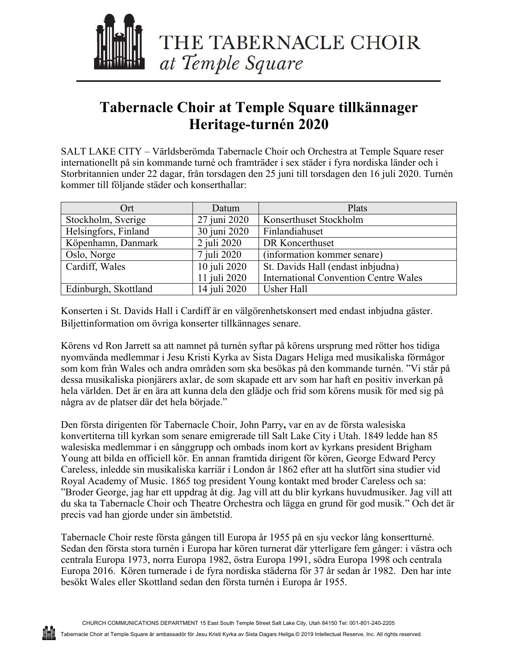<span id="page-8-0"></span>

# **Tabernacle Choir at Temple Square tillkännager Heritage-turnén 2020**

SALT LAKE CITY – Världsberömda Tabernacle Choir och Orchestra at Temple Square reser internationellt på sin kommande turné och framträder i sex städer i fyra nordiska länder och i Storbritannien under 22 dagar, från torsdagen den 25 juni till torsdagen den 16 juli 2020. Turnén kommer till följande städer och konserthallar:

| Ort                  | Datum        | Plats                                        |
|----------------------|--------------|----------------------------------------------|
| Stockholm, Sverige   | 27 juni 2020 | Konserthuset Stockholm                       |
| Helsingfors, Finland | 30 juni 2020 | Finlandiahuset                               |
| Köpenhamn, Danmark   | 2 juli 2020  | DR Koncerthuset                              |
| Oslo, Norge          | 7 juli 2020  | (information kommer senare)                  |
| Cardiff, Wales       | 10 juli 2020 | St. Davids Hall (endast inbjudna)            |
|                      | 11 juli 2020 | <b>International Convention Centre Wales</b> |
| Edinburgh, Skottland | 14 juli 2020 | Usher Hall                                   |

Konserten i St. Davids Hall i Cardiff är en välgörenhetskonsert med endast inbjudna gäster. Biljettinformation om övriga konserter tillkännages senare.

Körens vd Ron Jarrett sa att namnet på turnén syftar på körens ursprung med rötter hos tidiga nyomvända medlemmar i Jesu Kristi Kyrka av Sista Dagars Heliga med musikaliska förmågor som kom från Wales och andra områden som ska besökas på den kommande turnén. "Vi står på dessa musikaliska pionjärers axlar, de som skapade ett arv som har haft en positiv inverkan på hela världen. Det är en ära att kunna dela den glädje och frid som körens musik för med sig på några av de platser där det hela började."

Den första dirigenten för Tabernacle Choir, John Parry**,** var en av de första walesiska konvertiterna till kyrkan som senare emigrerade till Salt Lake City i Utah. 1849 ledde han 85 walesiska medlemmar i en sånggrupp och ombads inom kort av kyrkans president Brigham Young att bilda en officiell kör. En annan framtida dirigent för kören, George Edward Percy Careless, inledde sin musikaliska karriär i London år 1862 efter att ha slutfört sina studier vid Royal Academy of Music. 1865 tog president Young kontakt med broder Careless och sa: "Broder George, jag har ett uppdrag åt dig. Jag vill att du blir kyrkans huvudmusiker. Jag vill att du ska ta Tabernacle Choir och Theatre Orchestra och lägga en grund för god musik." Och det är precis vad han gjorde under sin ämbetstid.

Tabernacle Choir reste första gången till Europa år 1955 på en sju veckor lång konsertturné. Sedan den första stora turnén i Europa har kören turnerat där ytterligare fem gånger: i västra och centrala Europa 1973, norra Europa 1982, östra Europa 1991, södra Europa 1998 och centrala Europa 2016. Kören turnerade i de fyra nordiska städerna för 37 år sedan år 1982. Den har inte besökt Wales eller Skottland sedan den första turnén i Europa år 1955.